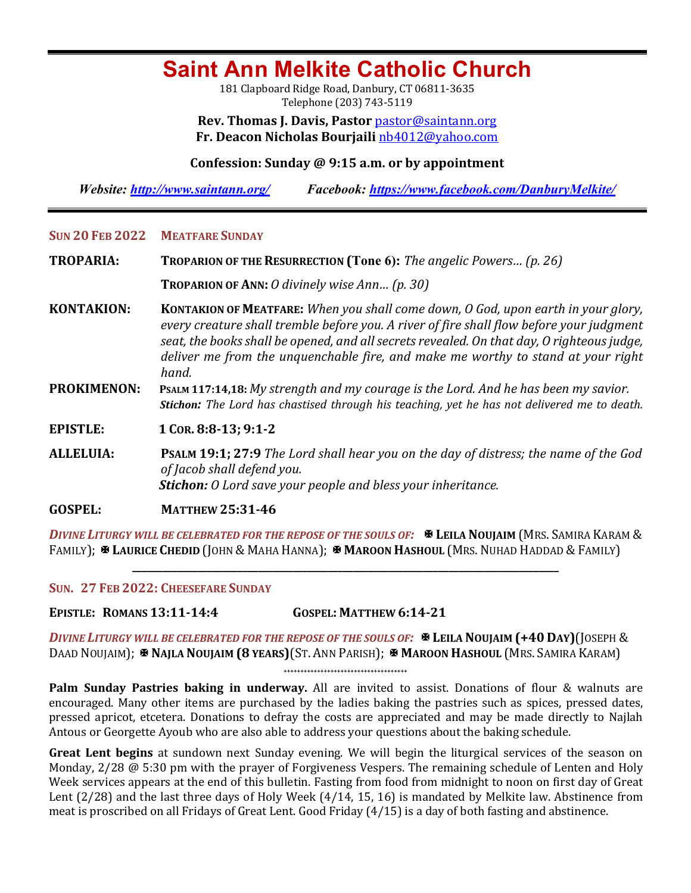# **Saint Ann Melkite Catholic Church**

181 Clapboard Ridge Road, Danbury, CT 06811-3635 Telephone (203) 743-5119

**Rev. Thomas J. Davis, Pastor** pastor@saintann.org **Fr. Deacon Nicholas Bourjaili** nb4012@yahoo.com

## **Confession: Sunday @ 9:15 a.m. or by appointment**

*Website: http://www.saintann.org/ Facebook: https://www.facebook.com/DanburyMelkite/* 

#### **SUN 20 FEB 2022 MEATFARE SUNDAY**

**TROPARIA: TROPARION OF THE RESURRECTION (Tone 6):** *The angelic Powers... (p. 26)* 

**TROPARION OF ANN:** *O* divinely wise Ann... (p. 30)

**KONTAKION: KONTAKION OF MEATFARE:** *When you shall come down, O God, upon earth in your glory,* every creature shall tremble before you. A river of fire shall flow before your judgment seat, the books shall be opened, and all secrets revealed. On that day, O righteous judge, *deliver* me from the unguenchable fire, and make me worthy to stand at your right *hand.* 

**PROKIMENON:** PSALM 117:14,18: *My strength and my courage is the Lord. And he has been my savior. Stichon:* The Lord has chastised through his teaching, yet he has not delivered me to death.

**EPISTLE: 1** COR. 8:8-13; 9:1-2

**ALLELUIA: PSALM 19:1; 27:9** *The Lord shall hear you on the day of distress; the name of the God of Jacob shall defend you. Stichon: O Lord save your people and bless your inheritance.* 

**GOSPEL: MATTHEW 25:31-46** 

**DIVINE LITURGY WILL BE CELEBRATED FOR THE REPOSE OF THE SOULS OF: <b>X LEILA NOUJAIM** (MRS. SAMIRA KARAM & **FAMILY);**  $\mathbf{\Psi}$  **Laurice Chedid** (John & Maha Hanna);  $\mathbf{\Psi}$  **Maroon Hashoul** (Mrs. Nuhad Haddad & Family)

**\_\_\_\_\_\_\_\_\_\_\_\_\_\_\_\_\_\_\_\_\_\_\_\_\_\_\_\_\_\_\_\_\_\_\_\_\_\_\_\_\_\_\_\_\_\_\_\_\_\_\_\_\_\_\_\_\_\_\_\_\_\_\_\_\_\_\_\_\_\_\_\_\_\_\_\_\_\_\_\_\_\_\_\_\_**

**SUN. 27 FEB 2022: CHEESEFARE SUNDAY** 

**EPISTLE: ROMANS 13:11-14:4 GOSPEL: MATTHEW 6:14-21**

*DIVINE LITURGY WILL BE CELEBRATED FOR THE REPOSE OF THE SOULS OF:*  $\mathbb{R}$  LEILA NOUJAIM (+40 DAY)(JOSEPH & DAAD NOUJAIM); **X NAJLA NOUJAIM (8 YEARS)**(ST. ANN PARISH); **X MAROON HASHOUL** (MRS. SAMIRA KARAM)

**+++++++++++++++++++++++++++++++++++++**

Palm Sunday Pastries baking in underway. All are invited to assist. Donations of flour & walnuts are encouraged. Many other items are purchased by the ladies baking the pastries such as spices, pressed dates, pressed apricot, etcetera. Donations to defray the costs are appreciated and may be made directly to Najlah Antous or Georgette Ayoub who are also able to address your questions about the baking schedule.

**Great Lent begins** at sundown next Sunday evening. We will begin the liturgical services of the season on Monday,  $2/28 \text{ } \textcircled{a} 5:30 \text{ pm}$  with the prayer of Forgiveness Vespers. The remaining schedule of Lenten and Holy Week services appears at the end of this bulletin. Fasting from food from midnight to noon on first day of Great Lent  $(2/28)$  and the last three days of Holy Week  $(4/14, 15, 16)$  is mandated by Melkite law. Abstinence from meat is proscribed on all Fridays of Great Lent. Good Friday (4/15) is a day of both fasting and abstinence.